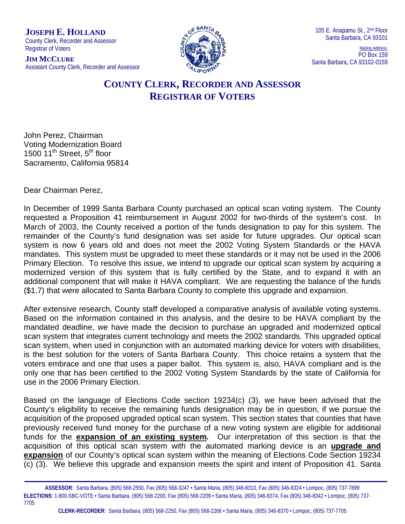**JOSEPH E. HOLLAND**

County Clerk, Recorder and Assessor Registrar of Voters

**JIM MCCLURE** Assistant County Clerk, Recorder and Assessor



Mailing Address: PO Box 159 Santa Barbara, CA 93102-0159

## **COUNTY CLERK, RECORDER AND ASSESSOR REGISTRAR OF VOTERS**

John Perez, Chairman Voting Modernization Board 1500  $11^{th}$  Street,  $5^{th}$  floor Sacramento, California 95814

Dear Chairman Perez,

In December of 1999 Santa Barbara County purchased an optical scan voting system. The County requested a Proposition 41 reimbursement in August 2002 for two-thirds of the system's cost. In March of 2003, the County received a portion of the funds designation to pay for this system. The remainder of the County's fund designation was set aside for future upgrades. Our optical scan system is now 6 years old and does not meet the 2002 Voting System Standards or the HAVA mandates. This system must be upgraded to meet these standards or it may not be used in the 2006 Primary Election. To resolve this issue, we intend to upgrade our optical scan system by acquiring a modernized version of this system that is fully certified by the State, and to expand it with an additional component that will make it HAVA compliant. We are requesting the balance of the funds (\$1.7) that were allocated to Santa Barbara County to complete this upgrade and expansion.

After extensive research, County staff developed a comparative analysis of available voting systems. Based on the information contained in this analysis, and the desire to be HAVA compliant by the mandated deadline, we have made the decision to purchase an upgraded and modernized optical scan system that integrates current technology and meets the 2002 standards. This upgraded optical scan system, when used in conjunction with an automated marking device for voters with disabilities, is the best solution for the voters of Santa Barbara County. This choice retains a system that the voters embrace and one that uses a paper ballot. This system is, also, HAVA compliant and is the only one that has been certified to the 2002 Voting System Standards by the state of California for use in the 2006 Primary Election.

Based on the language of Elections Code section 19234(c) (3), we have been advised that the County's eligibility to receive the remaining funds designation may be in question, if we pursue the acquisition of the proposed upgraded optical scan system. This section states that counties that have previously received fund money for the purchase of a new voting system are eligible for additional funds for the **expansion of an existing system***.* Our interpretation of this section is that the acquisition of this optical scan system with the automated marking device is an **upgrade and expansion** of our County's optical scan system within the meaning of Elections Code Section 19234 (c) (3). We believe this upgrade and expansion meets the spirit and intent of Proposition 41. Santa